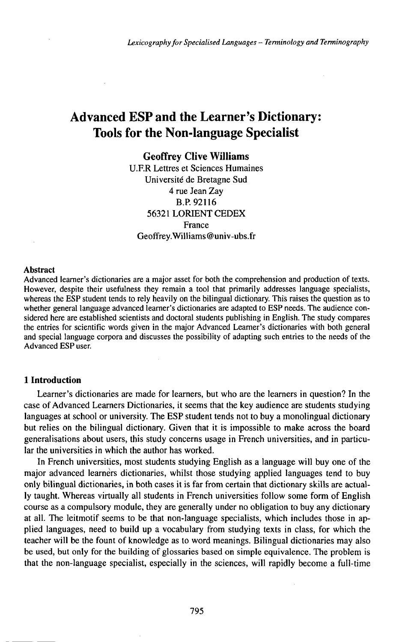# Advanced ESP and the Learner's Dictionary: Tools for the Non-language Specialist

# **Geoffrey Clive Williams**

U.F.R Lettres et Sciences Humaines Université de Bretagne Sud 4 rue Jean Zay B.P.92116 56321 LORIENT CEDEX France Geoffrey.Williams@univ-ubs.fr

#### Abstract

Advanced learner's dictionaries are a major asset for both the comprehension and production of texts. However, despite their usefulness they remain a tool that primarily addresses language specialists, whereas the ESP student tends to rely heavily on the bilingual dictionary. This raises the question as to whether general language advanced learner's dictionaries are adapted to ESP needs. The audience considered here are established scientists and doctoral students publishing in English. The study compares the entries for scientific words given in the major Advanced Leamer's dictionaries with both general and special language corpora and discusses the possibility of adapting such entries to the needs of the Advanced ESP user.

## **1 Introduction**

Learner's dictionaries are made for learners, but who are the learners in question? In the case of Advanced Learners Dictionaries, it seems that the key audience are students studying languages at school or university. The ESP student tends not to buy a monolingual dictionary but relies on the bilingual dictionary. Given that it is impossible to make across the board generalisations about users, this study concerns usage in French universities, and in particular the universities in which the author has worked.

In French universities, most students studying English as a language will buy one of the major advanced learnèrs dictionaries, whilst those studying applied languages tend to buy only bilingual dictionaries, in both cases it is far from certain that dictionary skills are actually taught. Whereas virtually all students in French universities follow some form of English course as a compulsory module, they are generally under no obligation to buy any dictionary at all. The leitmotif seems to be that non-language specialists, which includes those in applied languages, need to build up a vocabulary from studying texts in class, for which the teacher will be the fount of knowledge as to word meanings. Bilingual dictionaries may also be used, but only for the building of glossaries based on simple equivalence. The problem is that the non-language specialist, especially in the sciences, will rapidly become a full-time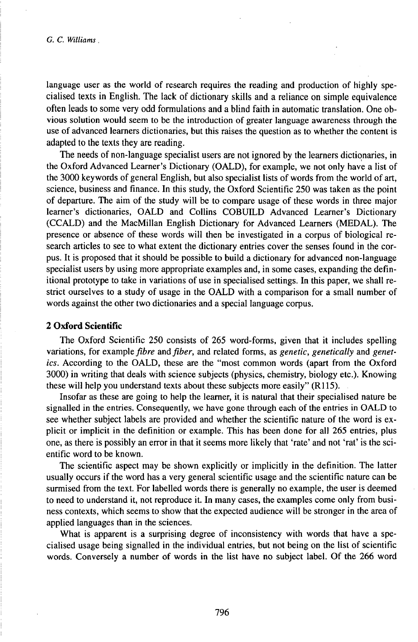language user as the world of research requires the reading and production of highly specialised texts in English. The lack of dictionary skills and a reliance on simple equivalence often leads to some very odd formulations and a blind faith in automatic translation. One obvious solution would seem to be the introduction of greater language awareness through the use of advanced learners dictionaries, but this raises the question as to whether the content is adapted to the texts they are reading.

The needs of non-language specialist users are not ignored by the learners dictionaries, in the Oxford Advanced Learner's Dictionary (OALD), for example, we not only have a list of the 3000 keywords of general English, but also specialist lists of words from the world of art, science, business and finance. In this study, the Oxford Scientific 250 was taken as the point of departure. The aim of the study will be to compare usage of these words in three major learner's dictionaries, OALD and Collins COBUILD Advanced Learner's Dictionary (CCALD) and the MacMillan English Dictionary for Advanced Learners (MEDAL). The presence or absence of these words will then be investigated in a corpus of biological research articles to see to what extent the dictionary entries cover the senses found in the corpus. It is proposed that it should be possible to build a dictionary for advanced non-language specialist users by using more appropriate examples and, in some cases, expanding the definitional prototype to take in variations of use in specialised settings. In this paper, we shall restrict ourselves to a study of usage in the OALD with a comparison for a small number of words against the other two dictionaries and a special language corpus.

## **2 Oxford Scientific**

The Oxford Scientific 250 consists of 265 word-forms, given that it includes spelling variations, for example *fibre* and *fiber*, and related forms, as *genetic*, *genetically* and *genetics.* According to the OALD, these are the "most common words (apart from the Oxford 3000) in writing that deals with science subjects (physics, chemistry, biology etc.). Knowing these will help you understand texts about these subjects more easily" (R115).

Insofar as these are going to help the learner, it is natural that their specialised nature be signalled in the entries. Consequently, we have gone through each of the entries in OALD to see whether subject labels are provided and whether the scientific nature of the word is explicit or implicit in the definition or example. This has been done for all 265 entries, plus one, as there is possibly an error in that it seems more likely that 'rate' and not 'rat' is the scientific word to be known.

The scientific aspect may be shown explicitly or implicitly in the definition. The latter usually occurs if the word has a very general scientific usage and the scientific nature can be surmised from the text. For labelled words there is generally no example, the user is deemed to need to understand it, not reproduce it. In many cases, the examples come only from business contexts, which seems to show that the expected audience will be stronger in the area of applied languages than in the sciences.

What is apparent is a surprising degree of inconsistency with words that have a specialised usage being signalled in the individual entries, but not being on the list of scientific words. Conversely a number of words in the list have no subject label. Of the 266 word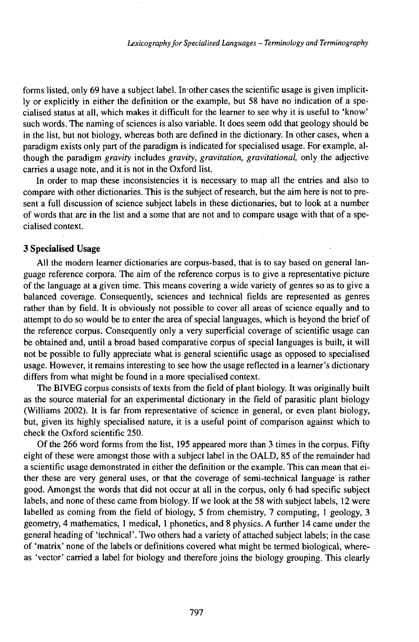forms listed, only 69 have a subject label. In-other cases the scientific usage is given implicitly or explicitly in either the definition or the example, but 58 have no indication of a specialised status at all, which makes it difficult for the learner to see why it is useful to 'know' such words. The naming of sciences is also variable. It does seem odd that geology should be in the list, but not biology, whereas both are defined in the dictionary. In other cases, when a paradigm exists only part of the paradigm is indicated for specialised usage. For example, although the paradigm *gravity* includes *gravity, gravitation, gravitational,* only the adjective carries a usage note, and it is not in the Oxford list.

In order to map these inconsistencies it is necessary to map all the entries and also to compare with other dictionaries. This is the subject of research, but the aim here is not to present a full discussion of science subject labels in these dictionaries, but to look at a number of words that are in the list and a some that are not and to compare usage with that of a specialised context.

## **3 Specialised Usage**

All the modern learner dictionaries are corpus-based, that is to say based on general language reference corpora. The aim of the reference corpus is to give a representative picture of the language at a given time. This means covering a wide variety of genres so as to give a balanced coverage. Consequently, sciences and technical fields are represented as genres rather than by field. It is obviously not possible to cover all areas of science equally and to attempt to do so would be to enter the area of special languages, which is beyond the brief of the reference corpus. Consequently only a very superficial coverage of scientific usage can be obtained and, until a broad based comparative corpus of special languages is built, it will not be possible to fully appreciate what is general scientific usage as opposed to specialised usage. However, it remains interesting to see how the usage reflected in a learner's dictionary differs from what might be found in a more specialised context.

The BIVEG corpus consists of texts from the field of plant biology. It was originally built as the source material for an experimental dictionary in the field of parasitic plant biology (Williams 2002). It is far from representative of science in general, or even plant biology, but, given its highly specialised nature, it is a useful point of comparison against which to check the Oxford scientific 250.

Of the 266 word forms from the list, 195 appeared more than 3 times in the corpus. Fifty eight of these were amongst those with a subject label in the OALD, 85 of the remainder had a scientific usage demonstrated in either the definition or the example. This can mean that either these are very general uses, or that the coverage of semi-technical language is rather good. Amongst the words that did not occur at all in the corpus, only 6 had specific subject labels, and none of these came from biology. If we look at the 58 with subject labels, 12 were labelled as coming from the field of biology, 5 from chemistry, 7 computing, <sup>1</sup> geology, 3 geometry, 4 mathematics, <sup>1</sup> medical, <sup>1</sup> phonetics, and 8 physics. A further 14 came under the general heading of 'technical'. Two others had a variety of attached subject labels; in the case of 'matrix' none of the labels or definitions covered what might be termed biological, whereas 'vector' carried a label for biology and therefore joins the biology grouping. This clearly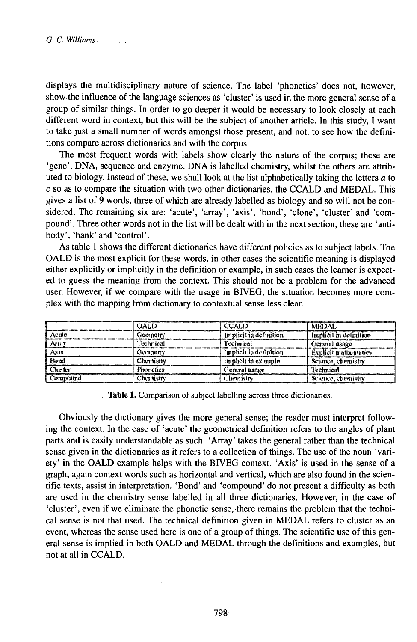displays the multidisciplinary nature of science. The label 'phonetics' does not, however, show the influence of the language sciences as 'cluster' is used in the more general sense of a group of similar things. In order to go deeper it would be necessary to look closely at each different word in context, but this will be the subject of another article. In this study, I want to take just a small number of words amongst those present, and not, to see how the definitions compare across dictionaries and with the corpus.

The most frequent words with labels show clearly the nature of the corpus; these are 'gene', DNA, sequence and enzyme. DNA is labelled chemistry, whilst the others are attributed to biology. Instead of these, we shall look at the list alphabetically taking the letters a to  $c$  so as to compare the situation with two other dictionaries, the CCALD and MEDAL. This gives a list of 9 words, three of which are already labelled as biology and so will not be considered. The remaining six are: 'acute', 'array', 'axis', 'bond', 'clone', 'cluster' and 'compound'. Three other words not in the list will be dealt with in the next section, these are 'antibody', 'bank' and 'control'.

As table 1 shows the different dictionaries have different policies as to subject labels. The OALD is the most explicit for these words, in other cases the scientific meaning is displayed either explicitly or implicitly in the definition or example, in such cases the learner is expected to guess the meaning from the context. This should not be a problem for the advanced user. However, if we compare with the usage in BIVEG, the situation becomes more complex with the mapping from dictionary to contextual sense less clear.

|          | <b>OALD</b>      | <b>CCALD</b>           | <b>MEDAL</b>            |
|----------|------------------|------------------------|-------------------------|
| Acuté    | Germetrv         | Implicit in definition | Implicit in definition  |
| Arruv    | fechnical        | Technical              | General itsige          |
| Axis     | Geometry         | Implicit in definition | Explicit mathematics    |
| Bond     | <b>Chemistry</b> | lmolicit in example    | Science, chemistry      |
| Chester  | Plymetics        | General usage          | Technical               |
| Compound | . literari strv  | Chemistry              | Science,<br>, chemistry |

. Table 1. Comparison of subject labelling across three dictionaries.

Obviously the dictionary gives the more general sense; the reader must interpret following the context. In the case of 'acute' the geometrical definition refers to the angles of plant parts and is easily understandable as such. 'Array' takes the general rather than the technical sense given in the dictionaries as it refers to a collection of things. The use of the noun 'variety' in the OALD example helps with the BIVEG context. 'Axis' is used in the sense of a graph, again context words such as horizontal and vertical, which are also found in the scientific texts, assist in interpretation. 'Bond' and 'compound' do not present a difficulty as both are used in the chemistry sense labelled in all three dictionaries. However, in the case of 'cluster', even if we eliminate the phonetic sense, there remains the problem that the technical sense is not that used. The technical definition given in MEDAL refers to cluster as an event, whereas the sense used here is one of a group of things. The scientific use of this general sense is implied in both OALD and MEDAL through the definitions and examples, but not at all in CCALD.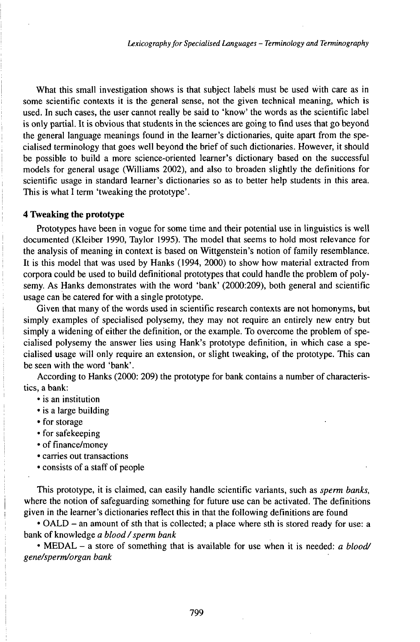What this small investigation shows is that subject labels must be used with care as in some scientific contexts it is the general sense, not the given technical meaning, which is used. In such cases, the user cannot really be said to 'know' the words as the scientific label is only partial. It is obvious that students in the sciences are going to find uses that go beyond the general language meanings found in the learner's dictionaries, quite apart from the specialised terminology that goes well beyond the brief of such dictionaries. However, it should be possible to build a more science-oriented learner's dictionary based on the successful models for general usage (Williams 2002), and also to broaden slightly the definitions for scientific usage in standard learner's dictionaries so as to better help students in this area. This is what I term 'tweaking the prototype'.

#### **4 Tweaking the prototype**

Prototypes have been in vogue for some time and their potential use in linguistics is well documented (Kleiber 1990, Taylor 1995). The model that seems to hold most relevance for the analysis of meaning in context is based on Wittgenstein's notion of family resemblance. It is this model that was used by Hanks (1994, 2000) to show how material extracted from corpora could be used to build definitional prototypes that could handle the problem of polysemy. As Hanks demonstrates with the word 'bank' (2000:209), both general and scientific usage can be catered for with a single prototype.

Given that many of the words used in scientific research contexts are not homonyms, but simply examples of specialised polysemy, they may not require an entirely new entry but simply a widening of either the definition, or the example. To overcome the problem of specialised polysemy the answer lies using Hank's prototype definition, in which case a specialised usage will only require an extension, or slight tweaking, of the prototype. This can be seen with the word 'bank'.

According to Hanks  $(2000: 209)$  the prototype for bank contains a number of characteristics, a bank:

- is an institution
- is a large building
- for storage
- for safekeeping
- of finance/money
- carries out transactions
- consists of a staff of people

This prototype, it is claimed, can easily handle scientific variants, such as *sperm banks,* where the notion of safeguarding something for future use can be activated. The definitions given in the learner's dictionaries reflect this in that the following definitions are found

• OALD - an amount of sth that is collected; <sup>a</sup> place where sth is stored ready for use: <sup>a</sup> bank of knowledge *a blood/sperm bank*

• MEDAL - <sup>a</sup> store of something that is available for use when it is needed: *<sup>a</sup> blood/ gene/sperm/organ bank*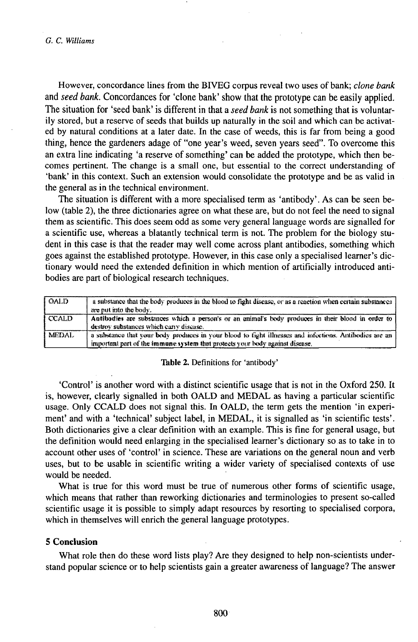However, concordance lines from the BIVEG corpus reveal two uses of bank; clone bank and seed bank. Concordances for 'clone bank' show that the prototype can be easily applied. The situation for 'seed bank' is different in that a seed bank is not something that is voluntarily stored, but a reserve of seeds that builds up naturally in the soil and which can be activated by natural conditions at a later date. In the case of weeds, this is far from being a good thing, hence the gardeners adage of "one year's weed, seven years seed". To overcome this an extra line indicating 'a reserve of something' can be added the prototype, which then becomes pertinent. The change is a small one, but essential to the correct understanding of 'bank' in this context. Such an extension would consolidate the prototype and be as valid in the general as in the technical environment.

The situation is different with a more specialised term as 'antibody'. As can be seen below (table 2), the three dictionaries agree on what these are, but do not feel the need to signal them as scientific. This does seem odd as some very general language words are signalled for a scientific use, whereas a blatantly technical term is not. The problem for the biology student in this case is that the reader may well come across plant antibodies, something which goes against the established prototype. However, in this case only a specialised learner's dictionary would need the extended definition in which mention of artificially introduced antibodies are part of biological research techniques.

| <b>OALD</b>  | a substance that the body produces in the blood to fight disease, or as a reaction when certain substances<br>are put into the body.                                                   |
|--------------|----------------------------------------------------------------------------------------------------------------------------------------------------------------------------------------|
| <b>CCALD</b> | Antibodies are substances which a person's or an animal's body produces in their blood in order to<br>destroy substances which carry disease.                                          |
| <b>MEDAL</b> | a substance that your body produces in your blood to fight illnesses and infections. Antibodies are an<br>important part of the immune system that protects your body against disease. |

#### Table 2. Definitions for 'antibody'

'Control' is another word with a distinct scientific usage that is not in the Oxford 250. It is, however, clearly signalled in both OALD and MEDAL as having a particular scientific usage. Only CCALD does not signal this. In OALD, the term gets the mention 'in experiment' and with a 'technical' subject label, in MEDAL, it is signalled as 'in scientific tests'. Both dictionaries give a clear definition with an example. This is fine for general usage, but the definition would need enlarging in the specialised learner's dictionary so as to take in to account other uses of 'control' in science. These are variations on the general noun and verb uses, but to be usable in scientific writing a wider variety of specialised contexts of use would be needed.

What is true for this word must be true of numerous other forms of scientific usage, which means that rather than reworking dictionaries and terminologies to present so-called scientific usage it is possible to simply adapt resources by resorting to specialised corpora, which in themselves will enrich the general language prototypes.

# 5 Conclusion

What role then do these word lists play? Are they designed to help non-scientists understand popular science or to help scientists gain a greater awareness of language? The answer